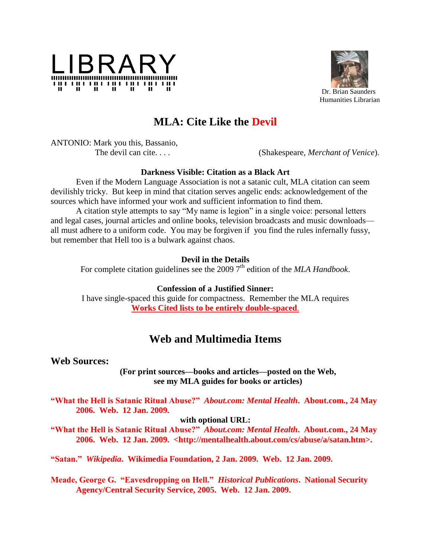



 Dr. Brian Saunders Humanities Librarian

# **MLA: Cite Like the Devil**

ANTONIO: Mark you this, Bassanio,

The devil can cite. . . . (Shakespeare, *Merchant of Venice*).

### **Darkness Visible: Citation as a Black Art**

Even if the Modern Language Association is not a satanic cult, MLA citation can seem devilishly tricky. But keep in mind that citation serves angelic ends: acknowledgement of the sources which have informed your work and sufficient information to find them.

A citation style attempts to say "My name is legion" in a single voice: personal letters and legal cases, journal articles and online books, television broadcasts and music downloads all must adhere to a uniform code. You may be forgiven if you find the rules infernally fussy, but remember that Hell too is a bulwark against chaos.

### **Devil in the Details**

For complete citation guidelines see the 2009 7<sup>th</sup> edition of the *MLA Handbook*.

#### **Confession of a Justified Sinner:**

I have single-spaced this guide for compactness. Remember the MLA requires **Works Cited lists to be entirely double-spaced**.

# **Web and Multimedia Items**

### **Web Sources:**

**(For print sources—books and articles—posted on the Web, see my MLA guides for books or articles)**

**"What the Hell is Satanic Ritual Abuse?"** *About.com: Mental Health***. About.com., 24 May 2006. Web. 12 Jan. 2009.** 

#### **with optional URL:**

**"What the Hell is Satanic Ritual Abuse?"** *About.com: Mental Health***. About.com., 24 May 2006. Web. 12 Jan. 2009. <http://mentalhealth.about.com/cs/abuse/a/satan.htm>.**

**"Satan."** *Wikipedia***. Wikimedia Foundation, 2 Jan. 2009. Web. 12 Jan. 2009.**

**Meade, George G. "Eavesdropping on Hell."** *Historical Publications***. National Security Agency/Central Security Service, 2005. Web. 12 Jan. 2009.**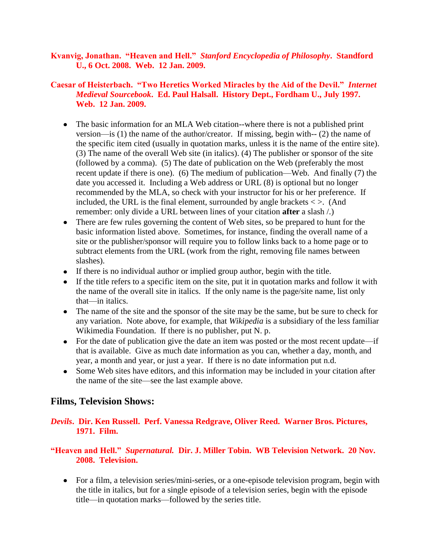### **Kvanvig, Jonathan. "Heaven and Hell."** *Stanford Encyclopedia of Philosophy***. Standford U., 6 Oct. 2008. Web. 12 Jan. 2009.**

### **Caesar of Heisterbach. "Two Heretics Worked Miracles by the Aid of the Devil."** *Internet Medieval Sourcebook***. Ed. Paul Halsall. History Dept., Fordham U., July 1997. Web. 12 Jan. 2009.**

- The basic information for an MLA Web citation--where there is not a published print version—is (1) the name of the author/creator. If missing, begin with-- (2) the name of the specific item cited (usually in quotation marks, unless it is the name of the entire site). (3) The name of the overall Web site (in italics). (4) The publisher or sponsor of the site (followed by a comma). (5) The date of publication on the Web (preferably the most recent update if there is one). (6) The medium of publication—Web. And finally (7) the date you accessed it. Including a Web address or URL (8) is optional but no longer recommended by the MLA, so check with your instructor for his or her preference. If included, the URL is the final element, surrounded by angle brackets  $\langle \rangle$ . (And remember: only divide a URL between lines of your citation **after** a slash /.)
- There are few rules governing the content of Web sites, so be prepared to hunt for the  $\bullet$ basic information listed above. Sometimes, for instance, finding the overall name of a site or the publisher/sponsor will require you to follow links back to a home page or to subtract elements from the URL (work from the right, removing file names between slashes).
- If there is no individual author or implied group author, begin with the title.
- If the title refers to a specific item on the site, put it in quotation marks and follow it with the name of the overall site in italics. If the only name is the page/site name, list only that—in italics.
- The name of the site and the sponsor of the site may be the same, but be sure to check for any variation. Note above, for example, that *Wikipedia* is a subsidiary of the less familiar Wikimedia Foundation. If there is no publisher, put N. p.
- For the date of publication give the date an item was posted or the most recent update—if that is available. Give as much date information as you can, whether a day, month, and year, a month and year, or just a year. If there is no date information put n.d.
- Some Web sites have editors, and this information may be included in your citation after the name of the site—see the last example above.

### **Films, Television Shows:**

*Devils***. Dir. Ken Russell. Perf. Vanessa Redgrave, Oliver Reed. Warner Bros. Pictures, 1971. Film.**

### **"Heaven and Hell."** *Supernatural.* **Dir. J. Miller Tobin. WB Television Network. 20 Nov. 2008. Television.**

For a film, a television series/mini-series, or a one-episode television program, begin with the title in italics, but for a single episode of a television series, begin with the episode title—in quotation marks—followed by the series title.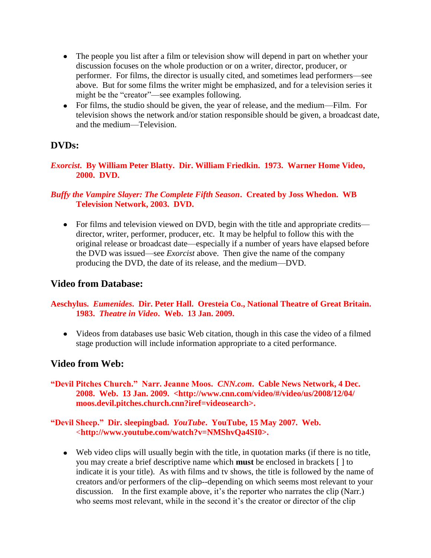- The people you list after a film or television show will depend in part on whether your discussion focuses on the whole production or on a writer, director, producer, or performer. For films, the director is usually cited, and sometimes lead performers—see above. But for some films the writer might be emphasized, and for a television series it might be the "creator"—see examples following.
- For films, the studio should be given, the year of release, and the medium—Film. For television shows the network and/or station responsible should be given, a broadcast date, and the medium—Television.

## **DVDs:**

*Exorcist***. By William Peter Blatty. Dir. William Friedkin. 1973. Warner Home Video, 2000. DVD.**

### *Buffy the Vampire Slayer: The Complete Fifth Season***. Created by Joss Whedon. WB Television Network, 2003. DVD.**

• For films and television viewed on DVD, begin with the title and appropriate credits director, writer, performer, producer, etc. It may be helpful to follow this with the original release or broadcast date—especially if a number of years have elapsed before the DVD was issued—see *Exorcist* above. Then give the name of the company producing the DVD, the date of its release, and the medium—DVD.

### **Video from Database:**

### **Aeschylus.** *Eumenides***. Dir. Peter Hall. Oresteia Co., National Theatre of Great Britain. 1983.** *Theatre in Video***. Web. 13 Jan. 2009.**

Videos from databases use basic Web citation, though in this case the video of a filmed stage production will include information appropriate to a cited performance.

### **Video from Web:**

**"Devil Pitches Church." Narr. Jeanne Moos.** *CNN.com***. Cable News Network, 4 Dec. 2008. Web. 13 Jan. 2009. <http://www.cnn.com/video/#/video/us/2008/12/04/ moos.devil.pitches.church.cnn?iref=videosearch>.**

### **"Devil Sheep." Dir. sleepingbad.** *YouTube***. YouTube, 15 May 2007. Web.**  <**http://www.youtube.com/watch?v=NMShvQa4SI0>.**

Web video clips will usually begin with the title, in quotation marks (if there is no title, you may create a brief descriptive name which **must** be enclosed in brackets [ ] to indicate it is your title). As with films and tv shows, the title is followed by the name of creators and/or performers of the clip--depending on which seems most relevant to your discussion. In the first example above, it's the reporter who narrates the clip (Narr.) who seems most relevant, while in the second it's the creator or director of the clip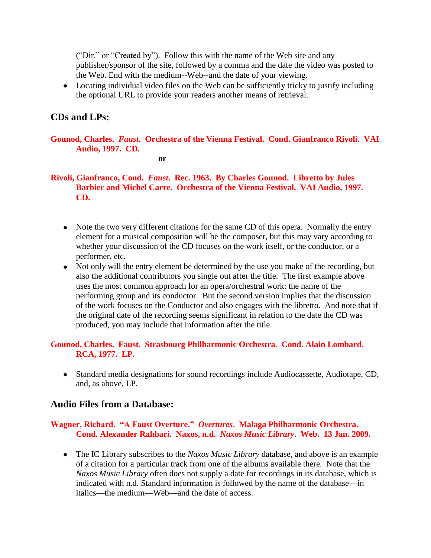("Dir." or "Created by"). Follow this with the name of the Web site and any publisher/sponsor of the site, followed by a comma and the date the video was posted to the Web. End with the medium--Web--and the date of your viewing.

• Locating individual video files on the Web can be sufficiently tricky to justify including the optional URL to provide your readers another means of retrieval.

## **CDs and LPs:**

### **Gounod, Charles.** *Faust***. Orchestra of the Vienna Festival. Cond. Gianfranco Rivoli. VAI Audio, 1997. CD.**

**or**

### **Rivoli, Gianfranco, Cond.** *Faust***. Rec. 1963. By Charles Gounod. Libretto by Jules Barbier and Michel Carre. Orchestra of the Vienna Festival. VAI Audio, 1997. CD.**

- Note the two very different citations for the same CD of this opera. Normally the entry element for a musical composition will be the composer, but this may vary according to whether your discussion of the CD focuses on the work itself, or the conductor, or a performer, etc.
- Not only will the entry element be determined by the use you make of the recording, but also the additional contributors you single out after the title. The first example above uses the most common approach for an opera/orchestral work: the name of the performing group and its conductor. But the second version implies that the discussion of the work focuses on the Conductor and also engages with the libretto. And note that if the original date of the recording seems significant in relation to the date the CD was produced, you may include that information after the title.

### **Gounod, Charles. Faust. Strasbourg Philharmonic Orchestra. Cond. Alain Lombard. RCA, 1977. LP.**

Standard media designations for sound recordings include Audiocassette, Audiotape, CD, and, as above, LP.

### **Audio Files from a Database:**

### **Wagner, Richard. "A Faust Overture."** *Overtures***. Malaga Philharmonic Orchestra. Cond. Alexander Rahbari. Naxos, n.d.** *Naxos Music Library***. Web. 13 Jan. 2009.**

The IC Library subscribes to the *Naxos Music Library* database, and above is an example of a citation for a particular track from one of the albums available there. Note that the *Naxos Music Library* often does not supply a date for recordings in its database, which is indicated with n.d. Standard information is followed by the name of the database—in italics—the medium—Web—and the date of access.